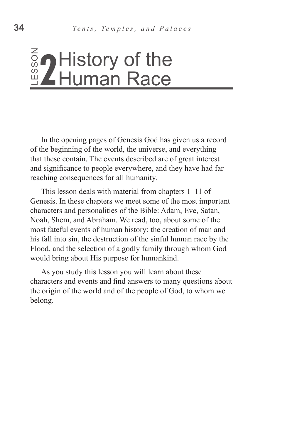# History of the Human Race

In the opening pages of Genesis God has given us a record of the beginning of the world, the universe, and everything that these contain. The events described are of great interest and significance to people everywhere, and they have had farreaching consequences for all humanity.

This lesson deals with material from chapters 1–11 of Genesis. In these chapters we meet some of the most important characters and personalities of the Bible: Adam, Eve, Satan, Noah, Shem, and Abraham. We read, too, about some of the most fateful events of human history: the creation of man and his fall into sin, the destruction of the sinful human race by the Flood, and the selection of a godly family through whom God would bring about His purpose for humankind. belong. LESSON **2**

As you study this lesson you will learn about these characters and events and find answers to many questions about the origin of the world and of the people of God, to whom we belong.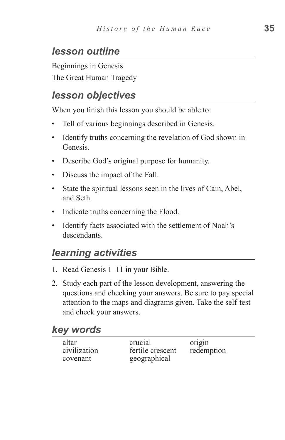## *lesson outline*

Beginnings in Genesis The Great Human Tragedy

## *lesson objectives*

When you finish this lesson you should be able to:

- Tell of various beginnings described in Genesis.
- Identify truths concerning the revelation of God shown in Genesis.
- Describe God's original purpose for humanity.
- Discuss the impact of the Fall.
- State the spiritual lessons seen in the lives of Cain, Abel, and Seth.
- Indicate truths concerning the Flood.
- Identify facts associated with the settlement of Noah's descendants.

## *learning activities*

- 1. Read Genesis 1–11 in your Bible.
- 2. Study each part of the lesson development, answering the questions and checking your answers. Be sure to pay special attention to the maps and diagrams given. Take the self-test and check your answers.

#### *key words*

| altar        |  |
|--------------|--|
| civilization |  |
| covenant     |  |

crucial origin fertile crescent redemption geographical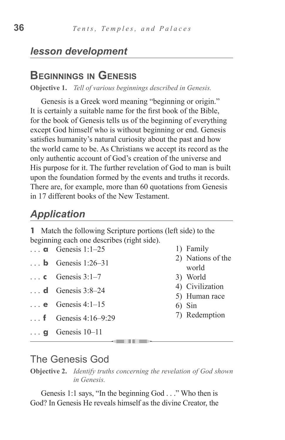#### *lesson development*

## **Beginnings in Genesis**

**Objective 1.** *Tell of various beginnings described in Genesis.*

Genesis is a Greek word meaning "beginning or origin." It is certainly a suitable name for the first book of the Bible, for the book of Genesis tells us of the beginning of everything except God himself who is without beginning or end. Genesis satisfies humanity's natural curiosity about the past and how the world came to be. As Christians we accept its record as the only authentic account of God's creation of the universe and His purpose for it. The further revelation of God to man is built upon the foundation formed by the events and truths it records. There are, for example, more than 60 quotations from Genesis in 17 different books of the New Testament.

## *Application*

**1** Match the following Scripture portions (left side) to the beginning each one describes (right side).

- **a** Genesis  $1.1-25$
- **b** Genesis  $1:26-31$
- $\cdot \cdot \cdot$  **c** Genesis 3:1–7
- **d**  Genesis 3:8–24
- **e**  Genesis 4:1–15
- **f** Genesis 4:16–9:29
- ... **g** Genesis 10–11
- 1) Family
- 2) Nations of the world
- 3) World
- 4) Civilization
- 5) Human race
- 6) Sin
- 7) Redemption

#### The Genesis God

**Objective 2.** *Identify truths concerning the revelation of God shown in Genesis.*

Genesis 1:1 says, "In the beginning God . . ." Who then is God? In Genesis He reveals himself as the divine Creator, the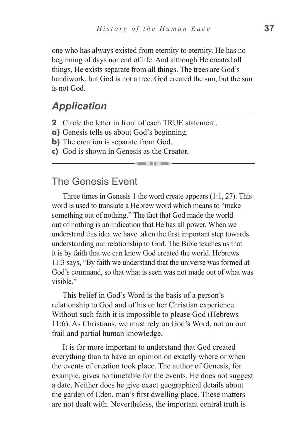one who has always existed from eternity to eternity. He has no beginning of days nor end of life. And although He created all things, He exists separate from all things. The trees are God's handiwork, but God is not a tree. God created the sun, but the sun is not God.

#### *Application*

- **2** Circle the letter in front of each TRUE statement.
- **a)** Genesis tells us about God's beginning.
- **b**) The creation is separate from God.
- **c)** God is shown in Genesis as the Creator.

#### The Genesis Event

Three times in Genesis 1 the word create appears (1:1, 27). This word is used to translate a Hebrew word which means to "make something out of nothing." The fact that God made the world out of nothing is an indication that He has all power. When we understand this idea we have taken the first important step towards understanding our relationship to God. The Bible teaches us that it is by faith that we can know God created the world. Hebrews 11:3 says, "By faith we understand that the universe was formed at God's command, so that what is seen was not made out of what was visible"

This belief in God's Word is the basis of a person's relationship to God and of his or her Christian experience. Without such faith it is impossible to please God (Hebrews 11:6). As Christians, we must rely on God's Word, not on our frail and partial human knowledge.

It is far more important to understand that God created everything than to have an opinion on exactly where or when the events of creation took place. The author of Genesis, for example, gives no timetable for the events. He does not suggest a date. Neither does he give exact geographical details about the garden of Eden, man's first dwelling place. These matters are not dealt with. Nevertheless, the important central truth is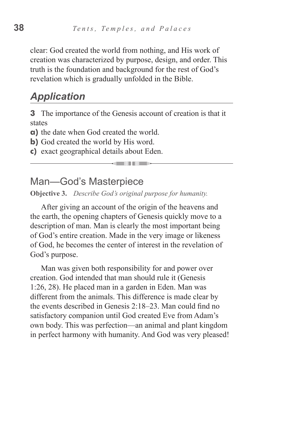clear: God created the world from nothing, and His work of creation was characterized by purpose, design, and order. This truth is the foundation and background for the rest of God's revelation which is gradually unfolded in the Bible.

#### *Application*

**3** The importance of the Genesis account of creation is that it states

**a)** the date when God created the world.

**b**) God created the world by His word.

**c)** exact geographical details about Eden.

Man—God's Masterpiece

**Objective 3.** *Describe God's original purpose for humanity.*

After giving an account of the origin of the heavens and the earth, the opening chapters of Genesis quickly move to a description of man. Man is clearly the most important being of God's entire creation. Made in the very image or likeness of God, he becomes the center of interest in the revelation of God's purpose.

Man was given both responsibility for and power over creation. God intended that man should rule it (Genesis 1:26, 28). He placed man in a garden in Eden. Man was different from the animals. This difference is made clear by the events described in Genesis 2:18–23. Man could find no satisfactory companion until God created Eve from Adam's own body. This was perfection—an animal and plant kingdom in perfect harmony with humanity. And God was very pleased!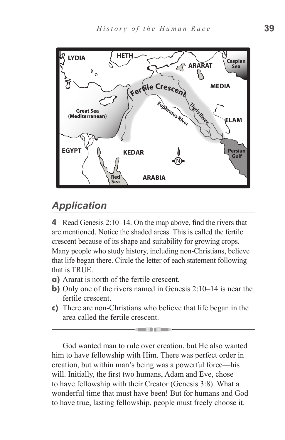

# *Application*

**4** Read Genesis 2:10–14. On the map above, find the rivers that are mentioned. Notice the shaded areas. This is called the fertile crescent because of its shape and suitability for growing crops. Many people who study history, including non-Christians, believe that life began there. Circle the letter of each statement following that is TRUE.

- **a)** Ararat is north of the fertile crescent.
- **b)** Only one of the rivers named in Genesis 2:10–14 is near the fertile crescent.
- **c)** There are non-Christians who believe that life began in the area called the fertile crescent.

a in the film of the film

God wanted man to rule over creation, but He also wanted him to have fellowship with Him. There was perfect order in creation, but within man's being was a powerful force—his will. Initially, the first two humans, Adam and Eve, chose to have fellowship with their Creator (Genesis 3:8). What a wonderful time that must have been! But for humans and God to have true, lasting fellowship, people must freely choose it.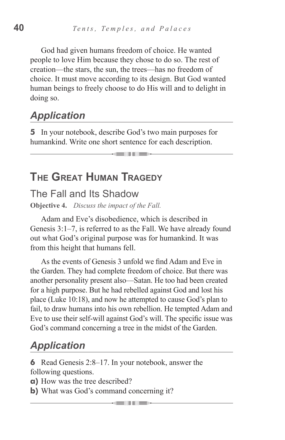God had given humans freedom of choice. He wanted people to love Him because they chose to do so. The rest of creation—the stars, the sun, the trees—has no freedom of choice. It must move according to its design. But God wanted human beings to freely choose to do His will and to delight in doing so.

# *Application*

**5** In your notebook, describe God's two main purposes for humankind. Write one short sentence for each description.

<u> Sellin III se</u>

# **The Great Human Tragedy**

#### The Fall and Its Shadow

**Objective 4.** *Discuss the impact of the Fall.*

Adam and Eve's disobedience, which is described in Genesis 3:1–7, is referred to as the Fall. We have already found out what God's original purpose was for humankind. It was from this height that humans fell.

As the events of Genesis 3 unfold we find Adam and Eve in the Garden. They had complete freedom of choice. But there was another personality present also—Satan. He too had been created for a high purpose. But he had rebelled against God and lost his place (Luke 10:18), and now he attempted to cause God's plan to fail, to draw humans into his own rebellion. He tempted Adam and Eve to use their self-will against God's will. The specific issue was God's command concerning a tree in the midst of the Garden.

# *Application*

**6** Read Genesis 2:8–17. In your notebook, answer the following questions.

- 11 -

- **a)** How was the tree described?
- **b**) What was God's command concerning it?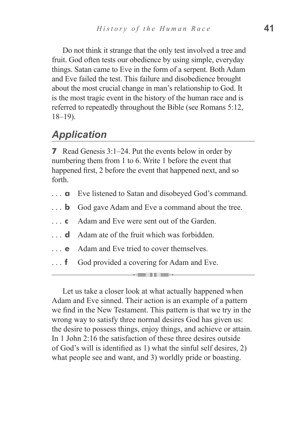Do not think it strange that the only test involved a tree and fruit. God often tests our obedience by using simple, everyday things. Satan came to Eve in the form of a serpent. Both Adam and Eve failed the test. This failure and disobedience brought about the most crucial change in man's relationship to God. It is the most tragic event in the history of the human race and is referred to repeatedly throughout the Bible (see Romans 5:12, 18–19).

# *Application*

**7** Read Genesis 3:1–24. Put the events below in order by numbering them from 1 to 6. Write 1 before the event that happened first, 2 before the event that happened next, and so forth.

- **a** Eve listened to Satan and disobeyed God's command.
- **b** God gave Adam and Eve a command about the tree.
- **c** Adam and Eve were sent out of the Garden.
- **d** Adam ate of the fruit which was forbidden.
- **e** Adam and Eve tried to cover themselves.
- **f** God provided a covering for Adam and Eve.

Let us take a closer look at what actually happened when Adam and Eve sinned. Their action is an example of a pattern we find in the New Testament. This pattern is that we try in the wrong way to satisfy three normal desires God has given us: the desire to possess things, enjoy things, and achieve or attain. In 1 John 2:16 the satisfaction of these three desires outside of God's will is identified as 1) what the sinful self desires, 2) what people see and want, and 3) worldly pride or boasting.

----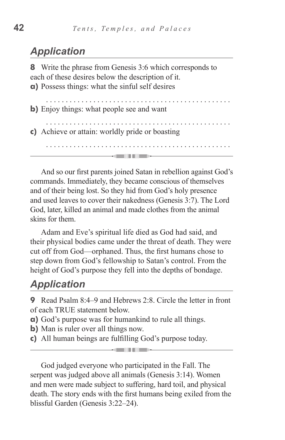## *Application*

**8** Write the phrase from Genesis 3:6 which corresponds to each of these desires below the description of it. **a)** Possess things: what the sinful self desires

. . . . . . . . . . . . **b**) Enjoy things: what people see and want **c)** Achieve or attain: worldly pride or boasting

and the second state of the second state of the second state of the second state of the second state in the second state in the second state in the second state in the second state in the second state in the second state i

And so our first parents joined Satan in rebellion against God's commands. Immediately, they became conscious of themselves and of their being lost. So they hid from God's holy presence and used leaves to cover their nakedness (Genesis 3:7). The Lord God, later, killed an animal and made clothes from the animal skins for them.

Adam and Eve's spiritual life died as God had said, and their physical bodies came under the threat of death. They were cut off from God—orphaned. Thus, the first humans chose to step down from God's fellowship to Satan's control. From the height of God's purpose they fell into the depths of bondage.

## *Application*

**9** Read Psalm 8:4–9 and Hebrews 2:8. Circle the letter in front of each TRUE statement below.

- **a)** God's purpose was for humankind to rule all things.
- **b**) Man is ruler over all things now.
- **c)** All human beings are fulfilling God's purpose today.

God judged everyone who participated in the Fall. The serpent was judged above all animals (Genesis 3:14). Women and men were made subject to suffering, hard toil, and physical death. The story ends with the first humans being exiled from the blissful Garden (Genesis 3:22–24).

**KENTIFER**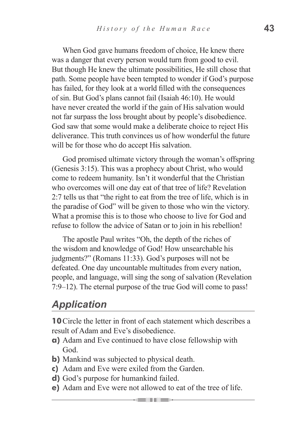When God gave humans freedom of choice, He knew there was a danger that every person would turn from good to evil. But though He knew the ultimate possibilities, He still chose that path. Some people have been tempted to wonder if God's purpose has failed, for they look at a world filled with the consequences of sin. But God's plans cannot fail (Isaiah 46:10). He would have never created the world if the gain of His salvation would not far surpass the loss brought about by people's disobedience. God saw that some would make a deliberate choice to reject His deliverance. This truth convinces us of how wonderful the future will be for those who do accept His salvation.

God promised ultimate victory through the woman's offspring (Genesis 3:15). This was a prophecy about Christ, who would come to redeem humanity. Isn't it wonderful that the Christian who overcomes will one day eat of that tree of life? Revelation 2:7 tells us that "the right to eat from the tree of life, which is in the paradise of God" will be given to those who win the victory. What a promise this is to those who choose to live for God and refuse to follow the advice of Satan or to join in his rebellion!

The apostle Paul writes "Oh, the depth of the riches of the wisdom and knowledge of God! How unsearchable his judgments?" (Romans 11:33). God's purposes will not be defeated. One day uncountable multitudes from every nation, people, and language, will sing the song of salvation (Revelation 7:9–12). The eternal purpose of the true God will come to pass!

#### *Application*

**10**Circle the letter in front of each statement which describes a result of Adam and Eve's disobedience.

- **a)** Adam and Eve continued to have close fellowship with God.
- **b)** Mankind was subjected to physical death.
- **c)** Adam and Eve were exiled from the Garden.
- **d)** God's purpose for humankind failed.
- **e)** Adam and Eve were not allowed to eat of the tree of life.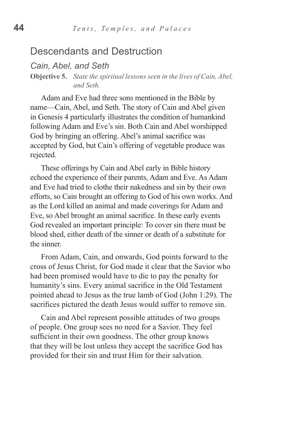#### Descendants and Destruction

*Cain, Abel, and Seth*

**Objective 5.** *State the spiritual lessons seen in the lives of Cain, Abel, and Seth.*

Adam and Eve had three sons mentioned in the Bible by name—Cain, Abel, and Seth. The story of Cain and Abel given in Genesis 4 particularly illustrates the condition of humankind following Adam and Eve's sin. Both Cain and Abel worshipped God by bringing an offering. Abel's animal sacrifice was accepted by God, but Cain's offering of vegetable produce was rejected.

These offerings by Cain and Abel early in Bible history echoed the experience of their parents, Adam and Eve. As Adam and Eve had tried to clothe their nakedness and sin by their own efforts, so Cain brought an offering to God of his own works. And as the Lord killed an animal and made coverings for Adam and Eve, so Abel brought an animal sacrifice. In these early events God revealed an important principle: To cover sin there must be blood shed, either death of the sinner or death of a substitute for the sinner.

From Adam, Cain, and onwards, God points forward to the cross of Jesus Christ, for God made it clear that the Savior who had been promised would have to die to pay the penalty for humanity's sins. Every animal sacrifice in the Old Testament pointed ahead to Jesus as the true lamb of God (John 1:29). The sacrifices pictured the death Jesus would suffer to remove sin.

Cain and Abel represent possible attitudes of two groups of people. One group sees no need for a Savior. They feel sufficient in their own goodness. The other group knows that they will be lost unless they accept the sacrifice God has provided for their sin and trust Him for their salvation.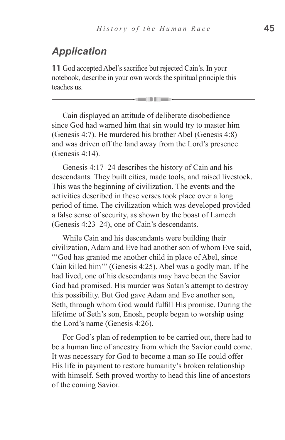# *Application*

**11** God accepted Abel's sacrifice but rejected Cain's. In your notebook, describe in your own words the spiritual principle this teaches us.

Cain displayed an attitude of deliberate disobedience since God had warned him that sin would try to master him (Genesis 4:7). He murdered his brother Abel (Genesis 4:8) and was driven off the land away from the Lord's presence (Genesis 4:14).

Genesis 4:17–24 describes the history of Cain and his descendants. They built cities, made tools, and raised livestock. This was the beginning of civilization. The events and the activities described in these verses took place over a long period of time. The civilization which was developed provided a false sense of security, as shown by the boast of Lamech (Genesis 4:23–24), one of Cain's descendants.

While Cain and his descendants were building their civilization, Adam and Eve had another son of whom Eve said, "'God has granted me another child in place of Abel, since Cain killed him'" (Genesis 4:25). Abel was a godly man. If he had lived, one of his descendants may have been the Savior God had promised. His murder was Satan's attempt to destroy this possibility. But God gave Adam and Eve another son, Seth, through whom God would fulfill His promise. During the lifetime of Seth's son, Enosh, people began to worship using the Lord's name (Genesis 4:26).

For God's plan of redemption to be carried out, there had to be a human line of ancestry from which the Savior could come. It was necessary for God to become a man so He could offer His life in payment to restore humanity's broken relationship with himself. Seth proved worthy to head this line of ancestors of the coming Savior.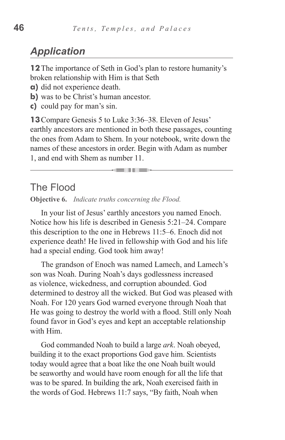## *Application*

**12**The importance of Seth in God's plan to restore humanity's broken relationship with Him is that Seth

- **a)** did not experience death.
- **b**) was to be Christ's human ancestor.
- **c)** could pay for man's sin.

**13**Compare Genesis 5 to Luke 3:36–38. Eleven of Jesus' earthly ancestors are mentioned in both these passages, counting the ones from Adam to Shem. In your notebook, write down the names of these ancestors in order. Begin with Adam as number 1, and end with Shem as number 11.

and in the se

#### The Flood

**Objective 6.** *Indicate truths concerning the Flood.*

In your list of Jesus' earthly ancestors you named Enoch. Notice how his life is described in Genesis 5:21–24. Compare this description to the one in Hebrews 11:5–6. Enoch did not experience death! He lived in fellowship with God and his life had a special ending. God took him away!

The grandson of Enoch was named Lamech, and Lamech's son was Noah. During Noah's days godlessness increased as violence, wickedness, and corruption abounded. God determined to destroy all the wicked. But God was pleased with Noah. For 120 years God warned everyone through Noah that He was going to destroy the world with a flood. Still only Noah found favor in God's eyes and kept an acceptable relationship with Him.

God commanded Noah to build a large *ark*. Noah obeyed, building it to the exact proportions God gave him. Scientists today would agree that a boat like the one Noah built would be seaworthy and would have room enough for all the life that was to be spared. In building the ark, Noah exercised faith in the words of God. Hebrews 11:7 says, "By faith, Noah when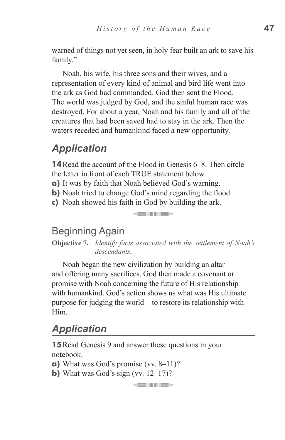warned of things not yet seen, in holy fear built an ark to save his family."

Noah, his wife, his three sons and their wives, and a representation of every kind of animal and bird life went into the ark as God had commanded. God then sent the Flood. The world was judged by God, and the sinful human race was destroyed. For about a year, Noah and his family and all of the creatures that had been saved had to stay in the ark. Then the waters receded and humankind faced a new opportunity.

# *Application*

**14**Read the account of the Flood in Genesis 6–8. Then circle the letter in front of each TRUE statement below.

- **a)** It was by faith that Noah believed God's warning.
- **b**) Noah tried to change God's mind regarding the flood.
- **c)** Noah showed his faith in God by building the ark.

#### Beginning Again

**Objective 7.** *Identify facts associated with the settlement of Noah's descendants.*

a ilin a litera

Noah began the new civilization by building an altar and offering many sacrifices. God then made a covenant or promise with Noah concerning the future of His relationship with humankind. God's action shows us what was His ultimate purpose for judging the world—to restore its relationship with Him.

## *Application*

**15** Read Genesis 9 and answer these questions in your notebook.

and the children is

- **a)** What was God's promise (vv. 8–11)?
- **b)** What was God's sign (vv.  $12-17$ )?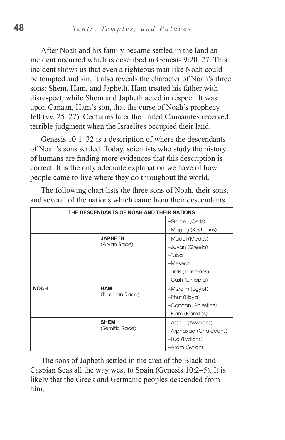After Noah and his family became settled in the land an incident occurred which is described in Genesis 9:20–27. This incident shows us that even a righteous man like Noah could be tempted and sin. It also reveals the character of Noah's three sons: Shem, Ham, and Japheth. Ham treated his father with disrespect, while Shem and Japheth acted in respect. It was upon Canaan, Ham's son, that the curse of Noah's prophecy fell (vv. 25–27). Centuries later the united Canaanites received terrible judgment when the Israelites occupied their land.

Genesis 10:1–32 is a description of where the descendants of Noah's sons settled. Today, scientists who study the history of humans are finding more evidences that this description is correct. It is the only adequate explanation we have of how people came to live where they do throughout the world.

| THE DESCENDANTS OF NOAH AND THEIR NATIONS |                                |                       |  |  |  |
|-------------------------------------------|--------------------------------|-----------------------|--|--|--|
|                                           |                                | -Gomer (Celts)        |  |  |  |
|                                           |                                | -Magog (Scythians)    |  |  |  |
|                                           | <b>JAPHETH</b><br>(Aryan Race) | -Madai (Medes)        |  |  |  |
|                                           |                                | -Javan (Greeks)       |  |  |  |
|                                           |                                | -Tubal                |  |  |  |
|                                           |                                | -Mesech               |  |  |  |
|                                           |                                | -Tiras (Thracians)    |  |  |  |
|                                           |                                | -Cush (Ethiopia)      |  |  |  |
| <b>NOAH</b>                               | <b>HAM</b><br>(Turanian Race)  | -Mizraim (Egypt)      |  |  |  |
|                                           |                                | -Phut (Libya)         |  |  |  |
|                                           |                                | -Canaan (Palestine)   |  |  |  |
|                                           |                                | -Elam (Elamites)      |  |  |  |
|                                           | <b>SHEM</b><br>(Semitic Race)  | -Asshur (Assyrians)   |  |  |  |
|                                           |                                | -Arphaxad (Chaldeans) |  |  |  |
|                                           |                                | -Lud (Lydians)        |  |  |  |
|                                           |                                | -Aram (Syrians)       |  |  |  |

The following chart lists the three sons of Noah, their sons, and several of the nations which came from their descendants.

The sons of Japheth settled in the area of the Black and Caspian Seas all the way west to Spain (Genesis 10:2–5). It is likely that the Greek and Germanic peoples descended from him.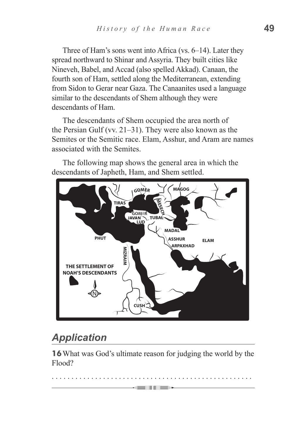Three of Ham's sons went into Africa (vs. 6–14). Later they spread northward to Shinar and Assyria. They built cities like Nineveh, Babel, and Accad (also spelled Akkad). Canaan, the fourth son of Ham, settled along the Mediterranean, extending from Sidon to Gerar near Gaza. The Canaanites used a language similar to the descendants of Shem although they were descendants of Ham.

The descendants of Shem occupied the area north of the Persian Gulf (vv. 21–31). They were also known as the Semites or the Semitic race. Elam, Asshur, and Aram are names associated with the Semites.

The following map shows the general area in which the descendants of Japheth, Ham, and Shem settled.



# *Application*

**16**What was God's ultimate reason for judging the world by the Flood?

. . . . . . . . . . . . . . . . . . . . . . . . . . . . . . . . . . . . . . . . . . . . . . . . . . .

**GENERAL PROPERTY**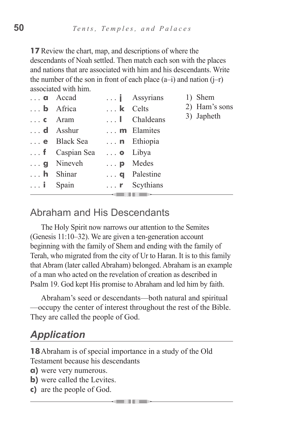**17** Review the chart, map, and descriptions of where the descendants of Noah settled. Then match each son with the places and nations that are associated with him and his descendants. Write the number of the son in front of each place  $(a-i)$  and nation  $(i-r)$ associated with him.

|                         | $\ldots$ <b>a</b> Accad   |                         | $\ldots$ <b>j</b> Assyrians | 1) Shem                     |  |  |
|-------------------------|---------------------------|-------------------------|-----------------------------|-----------------------------|--|--|
|                         | $\ldots$ <b>b</b> Africa  | $\ldots$ <b>k</b> Celts |                             | 2) Ham's sons<br>3) Japheth |  |  |
| $\ldots$ <b>c</b> Aram  |                           |                         | $\ldots$   Chaldeans        |                             |  |  |
|                         | $\ldots$ d Asshur         |                         | $\ldots$ <b>m</b> Elamites  |                             |  |  |
|                         | $\ldots$ e Black Sea      |                         | <b>n</b> Ethiopia           |                             |  |  |
|                         | $\ldots$ f Caspian Sea    | $\ldots$ <b>o</b> Libya |                             |                             |  |  |
|                         | $\ldots$ <b>g</b> Nineveh | $\ldots$ <b>p</b> Medes |                             |                             |  |  |
|                         | $\ldots$ <b>h</b> Shinar  |                         | $\ldots$ <b>q</b> Palestine |                             |  |  |
| $\ldots$ <b>i</b> Spain |                           |                         | $\ldots$ <b>r</b> Scythians |                             |  |  |
|                         |                           | .                       |                             |                             |  |  |

## Abraham and His Descendants

The Holy Spirit now narrows our attention to the Semites (Genesis 11:10–32). We are given a ten-generation account beginning with the family of Shem and ending with the family of Terah, who migrated from the city of Ur to Haran. It is to this family that Abram (later called Abraham) belonged. Abraham is an example of a man who acted on the revelation of creation as described in Psalm 19. God kept His promise to Abraham and led him by faith.

Abraham's seed or descendants—both natural and spiritual —occupy the center of interest throughout the rest of the Bible. They are called the people of God.

# *Application*

**18**Abraham is of special importance in a study of the Old Testament because his descendants

- **a)** were very numerous.
- **b)** were called the Levites.
- **c)** are the people of God.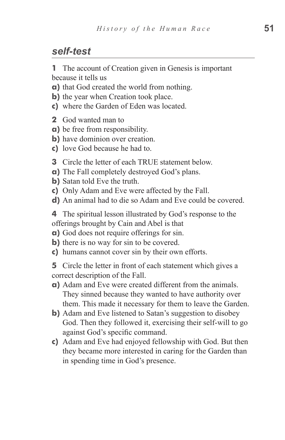#### *self-test*

**1** The account of Creation given in Genesis is important because it tells us

**a)** that God created the world from nothing.

- **b**) the year when Creation took place.
- **c)** where the Garden of Eden was located.
- **2** God wanted man to
- **a)** be free from responsibility.
- **b**) have dominion over creation.
- **c)** love God because he had to.
- **3** Circle the letter of each TRUE statement below.
- **a)** The Fall completely destroyed God's plans.
- **b)** Satan told Eve the truth.
- **c)** Only Adam and Eve were affected by the Fall.
- **d)** An animal had to die so Adam and Eve could be covered.

**4** The spiritual lesson illustrated by God's response to the offerings brought by Cain and Abel is that

- **a)** God does not require offerings for sin.
- **b**) there is no way for sin to be covered.
- **c)** humans cannot cover sin by their own efforts.

**5** Circle the letter in front of each statement which gives a correct description of the Fall.

- **a)** Adam and Eve were created different from the animals. They sinned because they wanted to have authority over them. This made it necessary for them to leave the Garden.
- **b**) Adam and Eve listened to Satan's suggestion to disobey God. Then they followed it, exercising their self-will to go against God's specific command.
- **c)** Adam and Eve had enjoyed fellowship with God. But then they became more interested in caring for the Garden than in spending time in God's presence.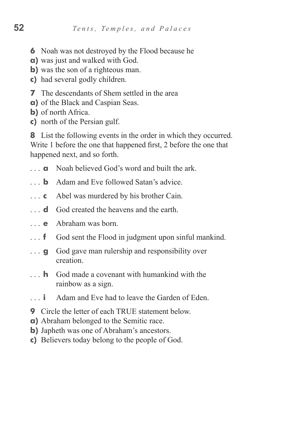- **6** Noah was not destroyed by the Flood because he
- **a)** was just and walked with God.
- **b**) was the son of a righteous man.
- **c)** had several godly children.
- **7** The descendants of Shem settled in the area
- **a)** of the Black and Caspian Seas.
- **b)** of north Africa.
- **c)** north of the Persian gulf.

**8** List the following events in the order in which they occurred. Write 1 before the one that happened first, 2 before the one that happened next, and so forth.

- **a** Noah believed God's word and built the ark.
- **b** Adam and Eve followed Satan's advice.
- **c** Abel was murdered by his brother Cain.
- **d** God created the heavens and the earth.
- **e**  Abraham was born.
- **f** God sent the Flood in judgment upon sinful mankind.
- **g** God gave man rulership and responsibility over creation.
- **h** God made a covenant with humankind with the rainbow as a sign.
- **i** Adam and Eve had to leave the Garden of Eden.
- **9** Circle the letter of each TRUE statement below.
- **a)** Abraham belonged to the Semitic race.
- **b**) Japheth was one of Abraham's ancestors.
- **c)** Believers today belong to the people of God.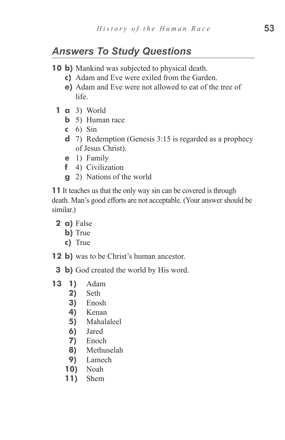# *Answers To Study Questions*

- **10 b)** Mankind was subjected to physical death.
	- **c)**  Adam and Eve were exiled from the Garden.
	- **e)** Adam and Eve were not allowed to eat of the tree of life.
	- **1 a** 3) World
		- **b** 5) Human race
		- **c**  6) Sin
		- **d**  7) Redemption (Genesis 3:15 is regarded as a prophecy of Jesus Christ).
		- **e**  1) Family
		- **f**  4) Civilization
		- **g** 2) Nations of the world

**11** It teaches us that the only way sin can be covered is through death. Man's good efforts are not acceptable. (Your answer should be similar.)

- **2 a)** False
	- **b**) True
	- **c)**  True
- **12 b)** was to be Christ's human ancestor.
	- **3 b**) God created the world by His word.
- **13 1)** Adam
	- **2)**  Seth
	- **3)**  Enosh
	- **4)**  Kenan
	- **5)**  Mahalaleel
	- **6)**  Jared
	- **7)**  Enoch
	- **8)**  Methuselah
	- **9)**  Lamech
	- **10)**  Noah
	- **11)**  Shem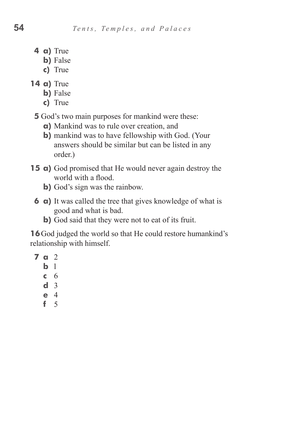- **4 a)** True
	- **b**) False
	- **c)**  True
- **14 a)** True
	- **b**) False
	- **c)**  True

**5** God's two main purposes for mankind were these:

- **a)** Mankind was to rule over creation, and
- **b**) mankind was to have fellowship with God. (Your answers should be similar but can be listed in any order.)
- **15 a**) God promised that He would never again destroy the world with a flood.
	- **b**) God's sign was the rainbow.
	- **6 a**) It was called the tree that gives knowledge of what is good and what is bad.
		- **b)** God said that they were not to eat of its fruit.

**16** God judged the world so that He could restore humankind's relationship with himself.

- **7 a** 2
	- **b**  l
	- **c**  6
	- **d**  3
	- **e**  4
	- **f**  5